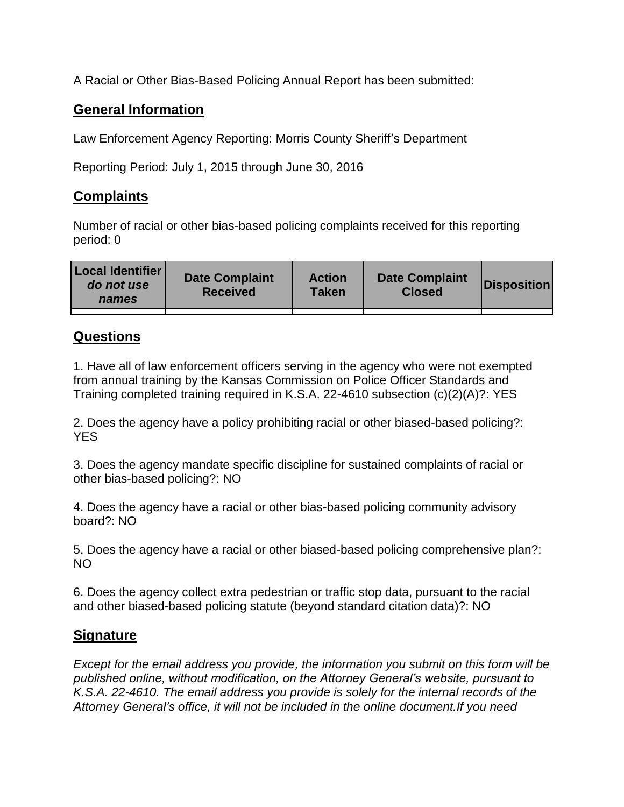A Racial or Other Bias-Based Policing Annual Report has been submitted:

## **General Information**

Law Enforcement Agency Reporting: Morris County Sheriff's Department

Reporting Period: July 1, 2015 through June 30, 2016

## **Complaints**

Number of racial or other bias-based policing complaints received for this reporting period: 0

| <b>Local Identifier</b><br>do not use<br>names | <b>Date Complaint</b><br><b>Received</b> | <b>Action</b><br><b>Taken</b> | <b>Date Complaint</b><br><b>Closed</b> | Disposition |
|------------------------------------------------|------------------------------------------|-------------------------------|----------------------------------------|-------------|
|                                                |                                          |                               |                                        |             |

## **Questions**

1. Have all of law enforcement officers serving in the agency who were not exempted from annual training by the Kansas Commission on Police Officer Standards and Training completed training required in K.S.A. 22-4610 subsection (c)(2)(A)?: YES

2. Does the agency have a policy prohibiting racial or other biased-based policing?: YES

3. Does the agency mandate specific discipline for sustained complaints of racial or other bias-based policing?: NO

4. Does the agency have a racial or other bias-based policing community advisory board?: NO

5. Does the agency have a racial or other biased-based policing comprehensive plan?: NO

6. Does the agency collect extra pedestrian or traffic stop data, pursuant to the racial and other biased-based policing statute (beyond standard citation data)?: NO

## **Signature**

*Except for the email address you provide, the information you submit on this form will be published online, without modification, on the Attorney General's website, pursuant to K.S.A. 22-4610. The email address you provide is solely for the internal records of the Attorney General's office, it will not be included in the online document.If you need*